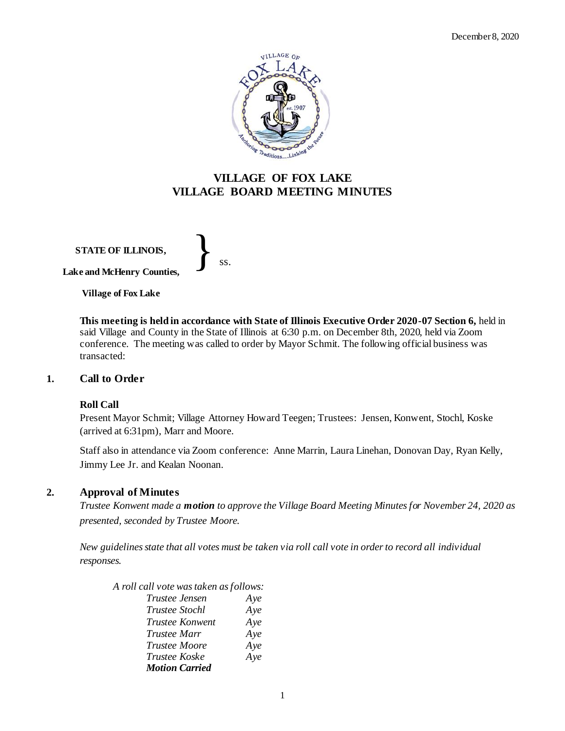

# **VILLAGE OF FOX LAKE VILLAGE BOARD MEETING MINUTES**

**STATE OF ILLINOIS, Lake and McHenry Counties,**  }<br>*ss.* 

**Village of Fox Lake**

**This meeting is held in accordance with State of Illinois Executive Order 2020-07 Section 6,** held in said Village and County in the State of Illinois at 6:30 p.m. on December 8th, 2020, held via Zoom conference. The meeting was called to order by Mayor Schmit. The following official business was transacted:

# **1. Call to Order**

#### **Roll Call**

Present Mayor Schmit; Village Attorney Howard Teegen; Trustees: Jensen, Konwent, Stochl, Koske (arrived at 6:31pm), Marr and Moore.

Staff also in attendance via Zoom conference: Anne Marrin, Laura Linehan, Donovan Day, Ryan Kelly, Jimmy Lee Jr. and Kealan Noonan.

# **2. Approval of Minutes**

*Trustee Konwent made a motion to approve the Village Board Meeting Minutes for November 24, 2020 as presented, seconded by Trustee Moore.* 

*New guidelines state that all votes must be taken via roll call vote in order to record all individual responses.* 

*A roll call vote was taken as follows:* 

| Trustee Jensen        | Aye |
|-----------------------|-----|
| Trustee Stochl        | Aye |
| Trustee Konwent       | Aye |
| Trustee Marr          | Aye |
| Trustee Moore         | Aye |
| Trustee Koske         | Aye |
| <b>Motion Carried</b> |     |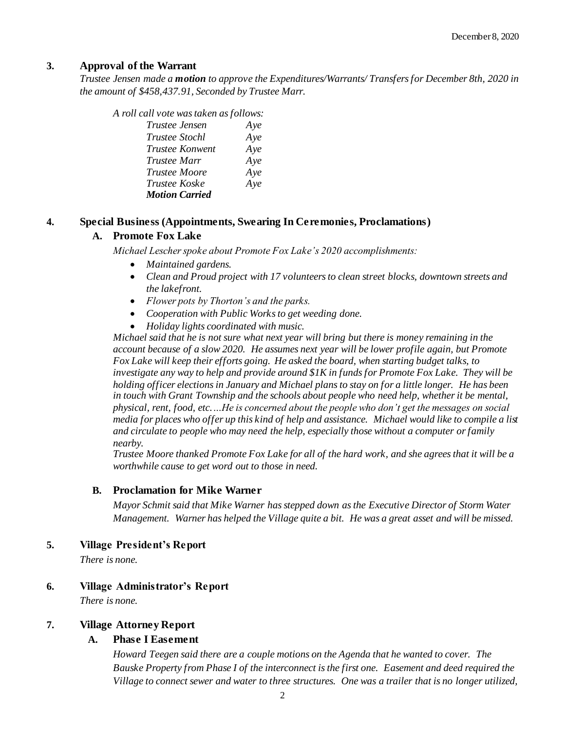# **3. Approval of the Warrant**

*Trustee Jensen made a motion to approve the Expenditures/Warrants/ Transfers for December 8th, 2020 in the amount of \$458,437.91, Seconded by Trustee Marr.*

| A roll call vote was taken as follows: |     |
|----------------------------------------|-----|
| <i>Trustee Jensen</i>                  | Aye |
| <i>Trustee Stochl</i>                  | Aye |
| <i>Trustee Konwent</i>                 | Aye |
| Trustee Marr                           | Aye |
| Trustee Moore                          | Aye |
| Trustee Koske                          | Aye |
| <b>Motion Carried</b>                  |     |

## **4. Special Business (Appointments, Swearing In Ceremonies, Proclamations)**

## **A. Promote Fox Lake**

*Michael Lescher spoke about Promote Fox Lake's 2020 accomplishments:*

- *Maintained gardens.*
- *Clean and Proud project with 17 volunteers to clean street blocks, downtown streets and the lakefront.*
- *Flower pots by Thorton's and the parks.*
- *Cooperation with Public Works to get weeding done.*
- *Holiday lights coordinated with music.*

*Michael said that he is not sure what next year will bring but there is money remaining in the account because of a slow 2020. He assumes next year will be lower profile again, but Promote Fox Lake will keep their efforts going. He asked the board, when starting budget talks, to investigate any way to help and provide around \$1K in funds for Promote Fox Lake. They will be holding officer elections in January and Michael plans to stay on for a little longer. He has been in touch with Grant Township and the schools about people who need help, whether it be mental, physical, rent, food, etc.…He is concerned about the people who don't get the messages on social media for places who offer up this kind of help and assistance. Michael would like to compile a list and circulate to people who may need the help, especially those without a computer or family nearby.* 

*Trustee Moore thanked Promote Fox Lake for all of the hard work, and she agrees that it will be a worthwhile cause to get word out to those in need.*

# **B. Proclamation for Mike Warner**

*Mayor Schmit said that Mike Warner has stepped down as the Executive Director of Storm Water Management. Warner has helped the Village quite a bit. He was a great asset and will be missed.* 

#### **5. Village President's Report**

*There is none.* 

# **6. Village Administrator's Report**

*There is none.* 

# **7. Village Attorney Report**

### **A. Phase I Easement**

*Howard Teegen said there are a couple motions on the Agenda that he wanted to cover. The Bauske Property from Phase I of the interconnect is the first one. Easement and deed required the Village to connect sewer and water to three structures. One was a trailer that is no longer utilized,*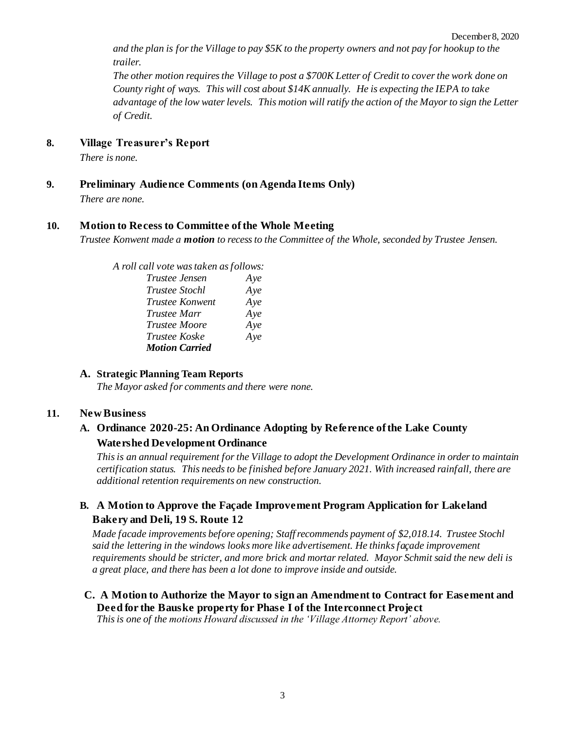*and the plan is for the Village to pay \$5K to the property owners and not pay for hookup to the trailer.* 

*The other motion requires the Village to post a \$700K Letter of Credit to cover the work done on County right of ways. This will cost about \$14K annually. He is expecting the IEPA to take advantage of the low water levels. This motion will ratify the action of the Mayor to sign the Letter of Credit.* 

#### **8. Village Treasurer's Report**

*There is none.*

**9. Preliminary Audience Comments (on Agenda Items Only)**

*There are none.* 

#### **10. Motion to Recess to Committee of the Whole Meeting**

*Trustee Konwent made a motion to recess to the Committee of the Whole, seconded by Trustee Jensen.* 

*A roll call vote was taken as follows: Trustee Jensen Aye Trustee Stochl Aye Trustee Konwent Aye Trustee Marr Aye Trustee Moore Aye Trustee Koske Aye Motion Carried*

#### **A. Strategic Planning Team Reports**

*The Mayor asked for comments and there were none.* 

#### **11. New Business**

# **A. Ordinance 2020-25: An Ordinance Adopting by Reference of the Lake County Watershed Development Ordinance**

*Thisis an annual requirement for the Village to adopt the Development Ordinance in order to maintain certification status. This needs to be finished before January 2021. With increased rainfall, there are additional retention requirements on new construction.* 

# **B. A Motion to Approve the Façade Improvement Program Application for Lakeland Bakery and Deli, 19 S. Route 12**

*Made facade improvements before opening; Staff recommends payment of \$2,018.14. Trustee Stochl said the lettering in the windows looks more like advertisement. He thinks façade improvement requirements should be stricter, and more brick and mortarrelated. Mayor Schmit said the new deli is a great place, and there has been a lot done to improve inside and outside.* 

# **C. A Motion to Authorize the Mayor to sign an Amendment to Contract for Easement and Deed for the Bauske property for Phase I of the Interconnect Project**

*This is one of the motions Howard discussed in the 'Village Attorney Report' above.*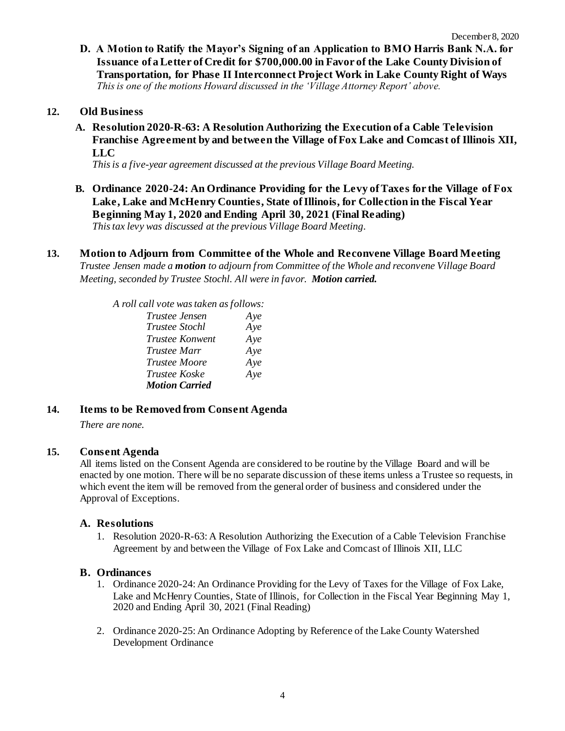**D. A Motion to Ratify the Mayor's Signing of an Application to BMO Harris Bank N.A. for Issuance of a Letter of Credit for \$700,000.00 in Favor of the Lake County Division of Transportation, for Phase II Interconnect Project Work in Lake County Right of Ways** *This is one of the motions Howard discussed in the 'Village Attorney Report' above.*

## **12. Old Business**

**A. Resolution 2020-R-63: A Resolution Authorizing the Execution of a Cable Television Franchise Agreement by and between the Village of Fox Lake and Comcast of Illinois XII, LLC**

*This is a five-year agreement discussed at the previous Village Board Meeting.* 

- **B. Ordinance 2020-24: An Ordinance Providing for the Levy of Taxes for the Village of Fox Lake, Lake and McHenry Counties, State of Illinois, for Collection in the Fiscal Year Beginning May 1, 2020 and Ending April 30, 2021 (Final Reading)** *This tax levy was discussed at the previous Village Board Meeting.*
- **13. Motion to Adjourn from Committee of the Whole and Reconvene Village Board Meeting** *Trustee Jensen made a motion to adjourn from Committee of the Whole and reconvene Village Board Meeting, seconded by Trustee Stochl. All were in favor. Motion carried.*

*A roll call vote was taken as follows:* 

| Trustee Jensen        | Aye |
|-----------------------|-----|
| Trustee Stochl        | Aye |
| Trustee Konwent       | Aye |
| Trustee Marr          | Aye |
| Trustee Moore         | Aye |
| Trustee Koske         | Aye |
| <b>Motion Carried</b> |     |

# **14. Items to be Removed from Consent Agenda**

*There are none.*

#### **15. Consent Agenda**

All items listed on the Consent Agenda are considered to be routine by the Village Board and will be enacted by one motion. There will be no separate discussion of these items unless a Trustee so requests, in which event the item will be removed from the general order of business and considered under the Approval of Exceptions.

# **A. Resolutions**

1. Resolution 2020-R-63: A Resolution Authorizing the Execution of a Cable Television Franchise Agreement by and between the Village of Fox Lake and Comcast of Illinois XII, LLC

### **B. Ordinances**

- 1. Ordinance 2020-24: An Ordinance Providing for the Levy of Taxes for the Village of Fox Lake, Lake and McHenry Counties, State of Illinois, for Collection in the Fiscal Year Beginning May 1, 2020 and Ending April 30, 2021 (Final Reading)
- 2. Ordinance 2020-25: An Ordinance Adopting by Reference of the Lake County Watershed Development Ordinance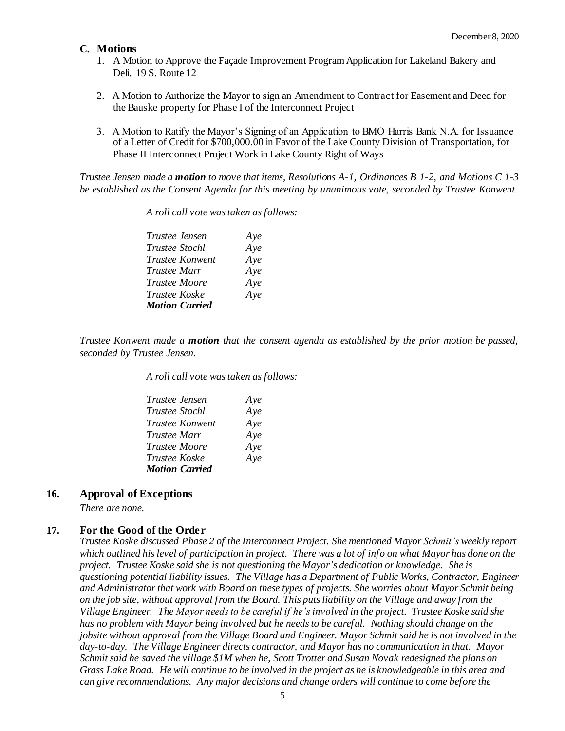### **C. Motions**

- 1. A Motion to Approve the Façade Improvement Program Application for Lakeland Bakery and Deli, 19 S. Route 12
- 2. A Motion to Authorize the Mayor to sign an Amendment to Contract for Easement and Deed for the Bauske property for Phase I of the Interconnect Project
- 3. A Motion to Ratify the Mayor's Signing of an Application to BMO Harris Bank N.A. for Issuance of a Letter of Credit for \$700,000.00 in Favor of the Lake County Division of Transportation, for Phase II Interconnect Project Work in Lake County Right of Ways

*Trustee Jensen made a motion to move that items, Resolutions A-1, Ordinances B 1-2, and Motions C 1-3 be established as the Consent Agenda for this meeting by unanimous vote, seconded by Trustee Konwent.*

| Trustee Jensen        | Aye |
|-----------------------|-----|
| <i>Trustee Stochl</i> | Aye |
| Trustee Konwent       | Aye |
| <i>Trustee Marr</i>   | Aye |
| Trustee Moore         | Aye |
| Trustee Koske         | Aye |
| <b>Motion Carried</b> |     |

*A roll call vote was taken as follows:* 

*Trustee Konwent made a motion that the consent agenda as established by the prior motion be passed, seconded by Trustee Jensen.*

*A roll call vote was taken as follows:* 

| <i>Trustee Jensen</i>  | Aye |
|------------------------|-----|
| <i>Trustee Stochl</i>  | Aye |
| <i>Trustee Konwent</i> | Aye |
| <i>Trustee Marr</i>    | Aye |
| <b>Trustee Moore</b>   | Aye |
| <i>Trustee Koske</i>   | Aye |
| <b>Motion Carried</b>  |     |

# **16. Approval of Exceptions**

*There are none.*

#### **17. For the Good of the Order**

*Trustee Koske discussed Phase 2 of the Interconnect Project. She mentioned Mayor Schmit's weekly report which outlined his level of participation in project. There was a lot of info on what Mayor has done on the project. Trustee Koske said she is not questioning the Mayor's dedication or knowledge. She is questioning potential liability issues. The Village has a Department of Public Works, Contractor, Engineer and Administrator that work with Board on these types of projects. She worries about Mayor Schmit being on the job site, without approval from the Board. This puts liability on the Village and away from the Village Engineer. The Mayor needs to be careful if he's involved in the project. Trustee Koske said she has no problem with Mayor being involved but he needs to be careful. Nothing should change on the jobsite without approval from the Village Board and Engineer. Mayor Schmit said he is not involved in the day-to-day. The Village Engineer directs contractor, and Mayor has no communication in that. Mayor Schmit said he saved the village \$1M when he, Scott Trotter and Susan Novak redesigned the plans on Grass Lake Road. He will continue to be involved in the project as he is knowledgeable in this area and can give recommendations. Any major decisions and change orders will continue to come before the*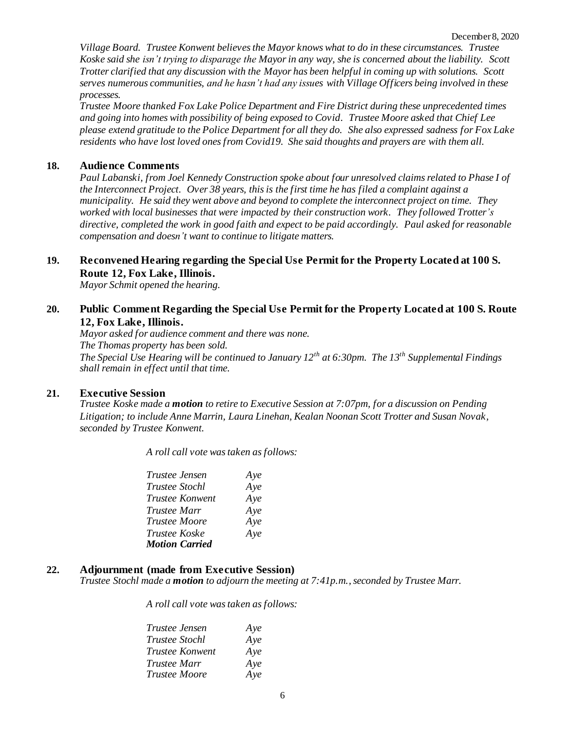*Village Board. Trustee Konwent believes the Mayor knows what to do in these circumstances. Trustee Koske said she isn't trying to disparage the Mayor in any way, she is concerned about the liability. Scott Trotter clarified that any discussion with the Mayor has been helpful in coming up with solutions. Scott serves numerous communities, and he hasn't had any issues with Village Officers being involved in these processes.* 

*Trustee Moore thanked Fox Lake Police Department and Fire District during these unprecedented times and going into homes with possibility of being exposed to Covid. Trustee Moore asked that Chief Lee please extend gratitude to the Police Department for all they do. She also expressed sadness for Fox Lake residents who have lost loved ones from Covid19. She said thoughts and prayers are with them all.* 

#### **18. Audience Comments**

*Paul Labanski, from Joel Kennedy Construction spoke about four unresolved claimsrelated to Phase I of the Interconnect Project. Over 38 years, this is the first time he has filed a complaint against a municipality. He said they went above and beyond to complete the interconnect project on time. They worked with local businesses that were impacted by their construction work. They followed Trotter's directive, completed the work in good faith and expect to be paid accordingly. Paul asked for reasonable compensation and doesn't want to continue to litigate matters.* 

## **19. Reconvened Hearing regarding the Special Use Permit for the Property Located at 100 S. Route 12, Fox Lake, Illinois.**

*Mayor Schmit opened the hearing.*

# **20. Public Comment Regarding the Special Use Permit for the Property Located at 100 S. Route 12, Fox Lake, Illinois.**

*Mayor asked for audience comment and there was none. The Thomas property has been sold. The Special Use Hearing will be continued to January 12th at 6:30pm. The 13th Supplemental Findings shall remain in effect until that time.* 

#### **21. Executive Session**

*Trustee Koske made a motion to retire to Executive Session at 7:07pm, for a discussion on Pending Litigation; to include Anne Marrin, Laura Linehan, Kealan Noonan Scott Trotter and Susan Novak, seconded by Trustee Konwent.*

*A roll call vote was taken as follows:* 

| <i>Trustee Jensen</i> | Aye |
|-----------------------|-----|
| <i>Trustee Stochl</i> | Aye |
| Trustee Konwent       | Aye |
| <i>Trustee Marr</i>   | Aye |
| <b>Trustee Moore</b>  | Aye |
| <i>Trustee Koske</i>  | Aye |
| <b>Motion Carried</b> |     |

#### **22. Adjournment (made from Executive Session)**

*Trustee Stochl made a motion to adjourn the meeting at 7:41p.m., seconded by Trustee Marr.* 

*A roll call vote was taken as follows:* 

| <i>Trustee Jensen</i>  | Aye |
|------------------------|-----|
| <i>Trustee Stochl</i>  | Aye |
| <i>Trustee Konwent</i> | Aye |
| Trustee Marr           | Aye |
| <b>Trustee Moore</b>   | Aye |